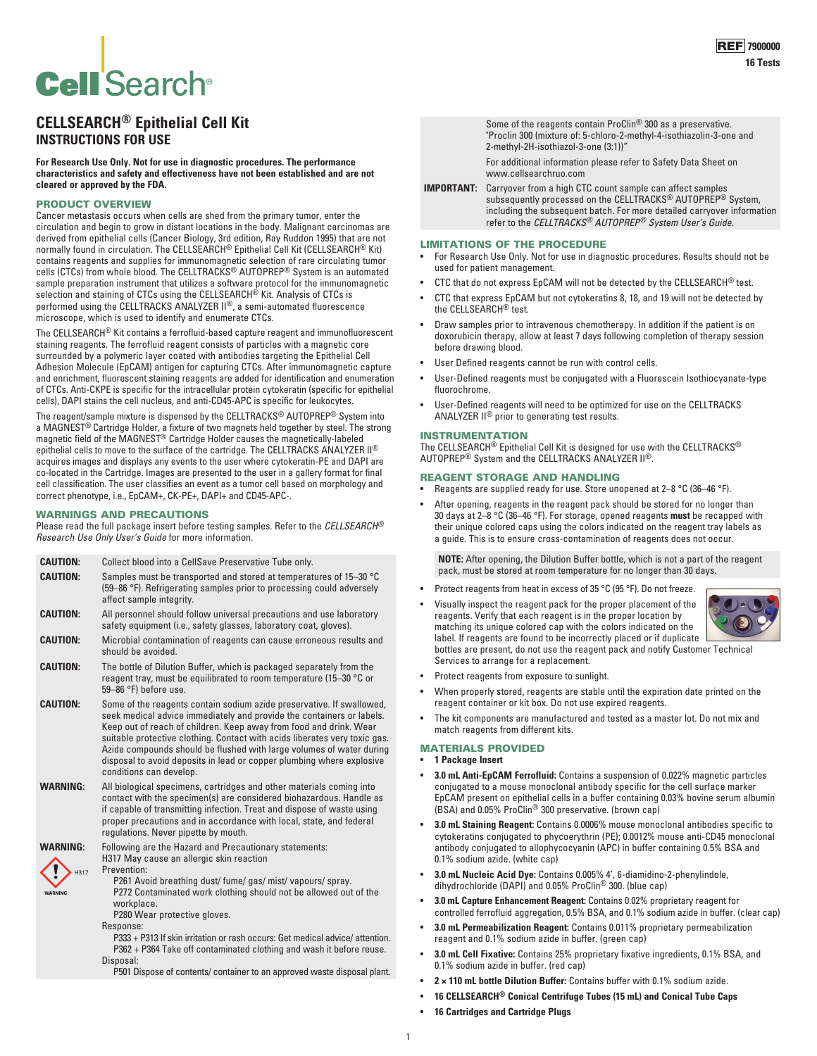# **Cell Search®**

# **CELLSEARCH® Epithelial Cell Kit INSTRUCTIONS FOR USE**

**For Research Use Only. Not for use in diagnostic procedures. The performance characteristics and safety and effectiveness have not been established and are not cleared or approved by the FDA.**

# PRODUCT OVERVIEW

Cancer metastasis occurs when cells are shed from the primary tumor, enter the circulation and begin to grow in distant locations in the body. Malignant carcinomas are derived from epithelial cells (Cancer Biology, 3rd edition, Ray Ruddon 1995) that are not normally found in circulation. The CELLSEARCH® Epithelial Cell Kit (CELLSEARCH® Kit) contains reagents and supplies for immunomagnetic selection of rare circulating tumor cells (CTCs) from whole blood. The CELLTRACKS® AUTOPREP® System is an automated sample preparation instrument that utilizes a software protocol for the immunomagnetic<br>selection and staining of CTCs using the CELLSEARCH® Kit. Analysis of CTCs is performed using the CELLTRACKS ANALYZER II®, a semi-automated fluorescence microscope, which is used to identify and enumerate CTCs.

The CELLSEARCH® Kit contains a ferrofluid-based capture reagent and immunofluorescent staining reagents. The ferrofluid reagent consists of particles with a magnetic core surrounded by a polymeric layer coated with antibodies targeting the Epithelial Cell Adhesion Molecule (EpCAM) antigen for capturing CTCs. After immunomagnetic capture and enrichment, fluorescent staining reagents are added for identification and enumeration of CTCs. Anti-CKPE is specific for the intracellular protein cytokeratin (specific for epithelial cells), DAPI stains the cell nucleus, and anti-CD45-APC is specific for leukocytes.

The reagent/sample mixture is dispensed by the CELLTRACKS® AUTOPREP® System into a MAGNEST® Cartridge Holder, a fixture of two magnets held together by steel. The strong magnetic field of the MAGNEST® Cartridge Holder causes the magnetically-labeled epithelial cells to move to the surface of the cartridge. The CELLTRACKS ANALYZER II® acquires images and displays any events to the user where cytokeratin-PE and DAPI are co-located in the Cartridge. Images are presented to the user in a gallery format for final cell classification. The user classifies an event as a tumor cell based on morphology and correct phenotype, i.e., EpCAM+, CK-PE+, DAPI+ and CD45-APC-.

#### WARNINGS AND PRECAUTIONS

Please read the full package insert before testing samples. Refer to the *CELLSEARCH® Research Use Only User's Guide* for more information.

|                 | <b>CAUTION:</b>         | Collect blood into a CellSave Preservative Tube only.                                                                                                                                                                                                                                                                                                                                                                                                                          |  |  |  |
|-----------------|-------------------------|--------------------------------------------------------------------------------------------------------------------------------------------------------------------------------------------------------------------------------------------------------------------------------------------------------------------------------------------------------------------------------------------------------------------------------------------------------------------------------|--|--|--|
|                 | <b>CAUTION:</b>         | Samples must be transported and stored at temperatures of 15-30 °C<br>(59–86 °F). Refrigerating samples prior to processing could adversely<br>affect sample integrity.                                                                                                                                                                                                                                                                                                        |  |  |  |
|                 | <b>CAUTION:</b>         | All personnel should follow universal precautions and use laboratory<br>safety equipment (i.e., safety glasses, laboratory coat, gloves).                                                                                                                                                                                                                                                                                                                                      |  |  |  |
|                 | <b>CAUTION:</b>         | Microbial contamination of reagents can cause erroneous results and<br>should be avoided.                                                                                                                                                                                                                                                                                                                                                                                      |  |  |  |
| <b>CAUTION:</b> |                         | The bottle of Dilution Buffer, which is packaged separately from the<br>reagent tray, must be equilibrated to room temperature (15-30 °C or<br>59-86 °F) before use.                                                                                                                                                                                                                                                                                                           |  |  |  |
|                 | <b>CAUTION:</b>         | Some of the reagents contain sodium azide preservative. If swallowed,<br>seek medical advice immediately and provide the containers or labels.<br>Keep out of reach of children. Keep away from food and drink. Wear<br>suitable protective clothing. Contact with acids liberates very toxic gas.<br>Azide compounds should be flushed with large volumes of water during<br>disposal to avoid deposits in lead or copper plumbing where explosive<br>conditions can develop. |  |  |  |
|                 | <b>WARNING:</b>         | All biological specimens, cartridges and other materials coming into<br>contact with the specimen(s) are considered biohazardous. Handle as<br>if capable of transmitting infection. Treat and dispose of waste using<br>proper precautions and in accordance with local, state, and federal<br>regulations. Never pipette by mouth.                                                                                                                                           |  |  |  |
|                 | <b>WARNING:</b><br>H317 | Following are the Hazard and Precautionary statements:<br>H317 May cause an allergic skin reaction<br>Prevention:                                                                                                                                                                                                                                                                                                                                                              |  |  |  |
|                 | <b>WARNING</b>          | P261 Avoid breathing dust/ fume/ gas/ mist/ vapours/ spray.<br>P272 Contaminated work clothing should not be allowed out of the<br>workplace.<br>P280 Wear protective gloves.                                                                                                                                                                                                                                                                                                  |  |  |  |
|                 |                         | Response:                                                                                                                                                                                                                                                                                                                                                                                                                                                                      |  |  |  |
|                 |                         | and the second control of the second second and the second second the second second second and the second second and second the second second and second the second second and second and second and second and second and sec                                                                                                                                                                                                                                                 |  |  |  |

P333 + P313 If skin irritation or rash occurs: Get medical advice/ attention. P362 + P364 Take off contaminated clothing and wash it before reuse. Disposal:

P501 Dispose of contents/ container to an approved waste disposal plant.

Some of the reagents contain ProClin® 300 as a preservative. "Proclin 300 (mixture of: 5-chloro-2-methyl-4-isothiazolin-3-one and 2-methyl-2H-isothiazol-3-one (3:1))"

For additional information please refer to Safety Data Sheet on www.cellsearchruo.com

**IMPORTANT:** Carryover from a high CTC count sample can affect samples subsequently processed on the CELLTRACKS® AUTOPREP® System, including the subsequent batch. For more detailed carryover information refer to the *CELLTRACKS® AUTOPREP® System User's Guide.*

#### LIMITATIONS OF THE PROCEDURE

- For Research Use Only. Not for use in diagnostic procedures. Results should not be used for patient management.
- CTC that do not express EpCAM will not be detected by the CELLSEARCH® test.
- CTC that express EpCAM but not cytokeratins 8, 18, and 19 will not be detected by the CELLSEARCH® test.
- Draw samples prior to intravenous chemotherapy. In addition if the patient is on doxorubicin therapy, allow at least 7 days following completion of therapy session before drawing blood.
- User Defined reagents cannot be run with control cells.
- User-Defined reagents must be conjugated with a Fluorescein Isothiocyanate-type fluorochrome.
- User-Defined reagents will need to be optimized for use on the CELLTRACKS ANALYZER II® prior to generating test results.

#### INSTRUMENTATION

The CELLSEARCH® Epithelial Cell Kit is designed for use with the CELLTRACKS® AUTOPREP® System and the CELLTRACKS ANALYZER II®.

# REAGENT STORAGE AND HANDLING

- Reagents are supplied ready for use. Store unopened at 2–8 °C (36–46 °F).
- After opening, reagents in the reagent pack should be stored for no longer than 30 days at 2–8 °C (36–46 °F). For storage, opened reagents **must** be recapped with their unique colored caps using the colors indicated on the reagent tray labels as a guide. This is to ensure cross-contamination of reagents does not occur.

**NOTE:** After opening, the Dilution Buffer bottle, which is not a part of the reagent pack, must be stored at room temperature for no longer than 30 days.

- Protect reagents from heat in excess of 35 °C (95 °F). Do not freeze.
- Visually inspect the reagent pack for the proper placement of the reagents. Verify that each reagent is in the proper location by matching its unique colored cap with the colors indicated on the label. If reagents are found to be incorrectly placed or if duplicate bottles are present, do not use the reagent pack and notify Customer Technical Services to arrange for a replacement.
- Protect reagents from exposure to sunlight.
- When properly stored, reagents are stable until the expiration date printed on the reagent container or kit box. Do not use expired reagents.
- The kit components are manufactured and tested as a master lot. Do not mix and match reagents from different kits.

#### MATERIALS PROVIDED

- **1 Package Insert**
- **3.0 mL Anti-EpCAM Ferrofluid:** Contains a suspension of 0.022% magnetic particles conjugated to a mouse monoclonal antibody specific for the cell surface marker EpCAM present on epithelial cells in a buffer containing 0.03% bovine serum albumin (BSA) and 0.05% ProClin® 300 preservative. (brown cap)
- **3.0 mL Staining Reagent:** Contains 0.0006% mouse monoclonal antibodies specific to cytokeratins conjugated to phycoerythrin (PE); 0.0012% mouse anti-CD45 monoclonal antibody conjugated to allophycocyanin (APC) in buffer containing 0.5% BSA and 0.1% sodium azide. (white cap)
- **3.0 mL Nucleic Acid Dye:** Contains 0.005% 4', 6-diamidino-2-phenylindole, dihydrochloride (DAPI) and 0.05% ProClin® 300. (blue cap)
- **3.0 mL Capture Enhancement Reagent:** Contains 0.02% proprietary reagent for controlled ferrofluid aggregation, 0.5% BSA, and 0.1% sodium azide in buffer. (clear cap)
- **3.0 mL Permeabilization Reagent:** Contains 0.011% proprietary permeabilization reagent and 0.1% sodium azide in buffer. (green cap)
- **3.0 mL Cell Fixative:** Contains 25% proprietary fixative ingredients, 0.1% BSA, and 0.1% sodium azide in buffer. (red cap)
- **2 × 110 mL bottle Dilution Buffer:** Contains buffer with 0.1% sodium azide.
- **16 CELLSEARCH® Conical Centrifuge Tubes (15 mL) and Conical Tube Caps**
- **16 Cartridges and Cartridge Plugs**